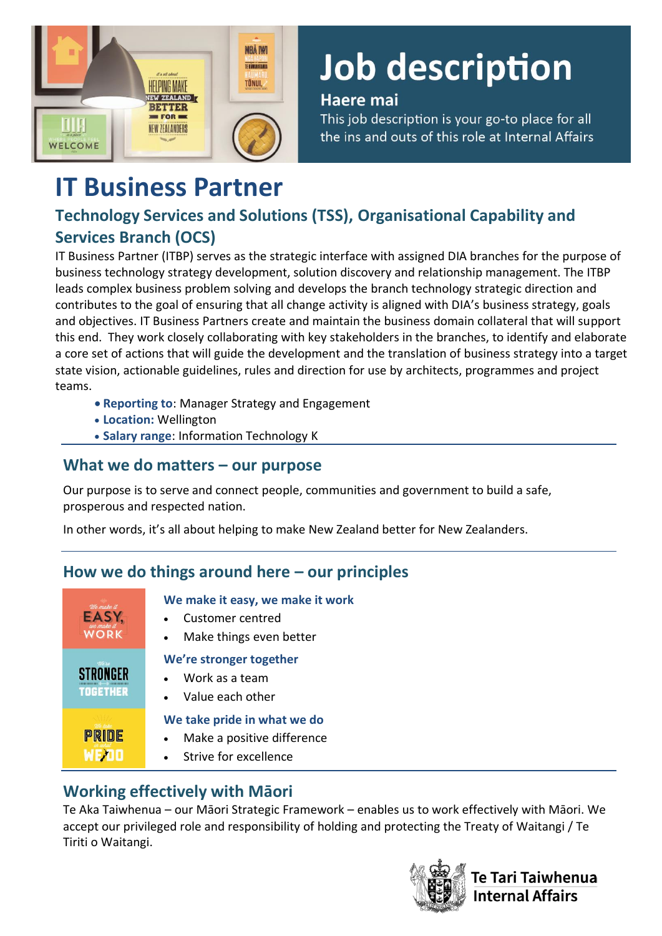

# Job description

#### Haere mai

This job description is your go-to place for all the ins and outs of this role at Internal Affairs

# **IT Business Partner**

# **Technology Services and Solutions (TSS), Organisational Capability and Services Branch (OCS)**

IT Business Partner (ITBP) serves as the strategic interface with assigned DIA branches for the purpose of business technology strategy development, solution discovery and relationship management. The ITBP leads complex business problem solving and develops the branch technology strategic direction and contributes to the goal of ensuring that all change activity is aligned with DIA's business strategy, goals and objectives. IT Business Partners create and maintain the business domain collateral that will support this end. They work closely collaborating with key stakeholders in the branches, to identify and elaborate a core set of actions that will guide the development and the translation of business strategy into a target state vision, actionable guidelines, rules and direction for use by architects, programmes and project teams.

- **Reporting to**: Manager Strategy and Engagement
- **Location:** Wellington
- **Salary range**: Information Technology K

### **What we do matters – our purpose**

Our purpose is to serve and connect people, communities and government to build a safe, prosperous and respected nation.

In other words, it's all about helping to make New Zealand better for New Zealanders.

# **How we do things around here – our principles**

| We make it<br>EASY,<br><b>WORK</b> | We make it easy, we make it work<br>Customer centred<br>Make things even better<br>$\bullet$                 |
|------------------------------------|--------------------------------------------------------------------------------------------------------------|
| Were<br><b>TOGETHER</b>            | We're stronger together<br>Work as a team<br>Value each other                                                |
| <b>PRIDE</b>                       | We take pride in what we do<br>Make a positive difference<br>$\bullet$<br>Strive for excellence<br>$\bullet$ |

# **Working effectively with Māori**

Te Aka Taiwhenua – our Māori Strategic Framework – enables us to work effectively with Māori. We accept our privileged role and responsibility of holding and protecting the Treaty of Waitangi / Te Tiriti o Waitangi.



<sup>r</sup>e Tari Taiwhenua nternal Affairs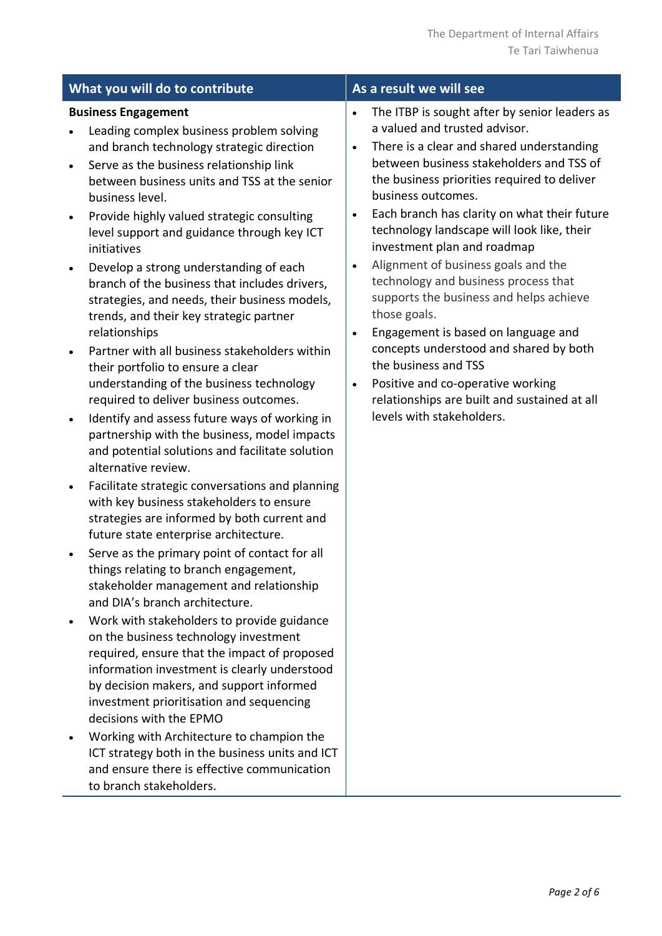| What you will do to contribute                                                                                                                                                                                                                                                                                                                                                                                                                                                                                                                                                                                                                                                                                                                                                                                                                                                                                                                                                                                                                                                                                                                                                                                                                                                                                                                                                                                                                                                                                                                                                                                                                                                                                                                                                                                                              | As a result we will see                                                                                                                                                                                                                                                                                                                                                                                                                                                                                                                                                                                                                                                                                                                                                                                                      |  |  |  |
|---------------------------------------------------------------------------------------------------------------------------------------------------------------------------------------------------------------------------------------------------------------------------------------------------------------------------------------------------------------------------------------------------------------------------------------------------------------------------------------------------------------------------------------------------------------------------------------------------------------------------------------------------------------------------------------------------------------------------------------------------------------------------------------------------------------------------------------------------------------------------------------------------------------------------------------------------------------------------------------------------------------------------------------------------------------------------------------------------------------------------------------------------------------------------------------------------------------------------------------------------------------------------------------------------------------------------------------------------------------------------------------------------------------------------------------------------------------------------------------------------------------------------------------------------------------------------------------------------------------------------------------------------------------------------------------------------------------------------------------------------------------------------------------------------------------------------------------------|------------------------------------------------------------------------------------------------------------------------------------------------------------------------------------------------------------------------------------------------------------------------------------------------------------------------------------------------------------------------------------------------------------------------------------------------------------------------------------------------------------------------------------------------------------------------------------------------------------------------------------------------------------------------------------------------------------------------------------------------------------------------------------------------------------------------------|--|--|--|
| <b>Business Engagement</b><br>Leading complex business problem solving<br>and branch technology strategic direction<br>Serve as the business relationship link<br>$\bullet$<br>between business units and TSS at the senior<br>business level.<br>Provide highly valued strategic consulting<br>$\bullet$<br>level support and guidance through key ICT<br>initiatives<br>Develop a strong understanding of each<br>$\bullet$<br>branch of the business that includes drivers,<br>strategies, and needs, their business models,<br>trends, and their key strategic partner<br>relationships<br>Partner with all business stakeholders within<br>$\bullet$<br>their portfolio to ensure a clear<br>understanding of the business technology<br>required to deliver business outcomes.<br>Identify and assess future ways of working in<br>$\bullet$<br>partnership with the business, model impacts<br>and potential solutions and facilitate solution<br>alternative review.<br>Facilitate strategic conversations and planning<br>$\bullet$<br>with key business stakeholders to ensure<br>strategies are informed by both current and<br>future state enterprise architecture.<br>Serve as the primary point of contact for all<br>things relating to branch engagement,<br>stakeholder management and relationship<br>and DIA's branch architecture.<br>Work with stakeholders to provide guidance<br>on the business technology investment<br>required, ensure that the impact of proposed<br>information investment is clearly understood<br>by decision makers, and support informed<br>investment prioritisation and sequencing<br>decisions with the EPMO<br>Working with Architecture to champion the<br>ICT strategy both in the business units and ICT<br>and ensure there is effective communication<br>to branch stakeholders. | The ITBP is sought after by senior leaders as<br>$\bullet$<br>a valued and trusted advisor.<br>There is a clear and shared understanding<br>$\bullet$<br>between business stakeholders and TSS of<br>the business priorities required to deliver<br>business outcomes.<br>Each branch has clarity on what their future<br>$\bullet$<br>technology landscape will look like, their<br>investment plan and roadmap<br>Alignment of business goals and the<br>$\bullet$<br>technology and business process that<br>supports the business and helps achieve<br>those goals.<br>Engagement is based on language and<br>$\bullet$<br>concepts understood and shared by both<br>the business and TSS<br>Positive and co-operative working<br>$\bullet$<br>relationships are built and sustained at all<br>levels with stakeholders. |  |  |  |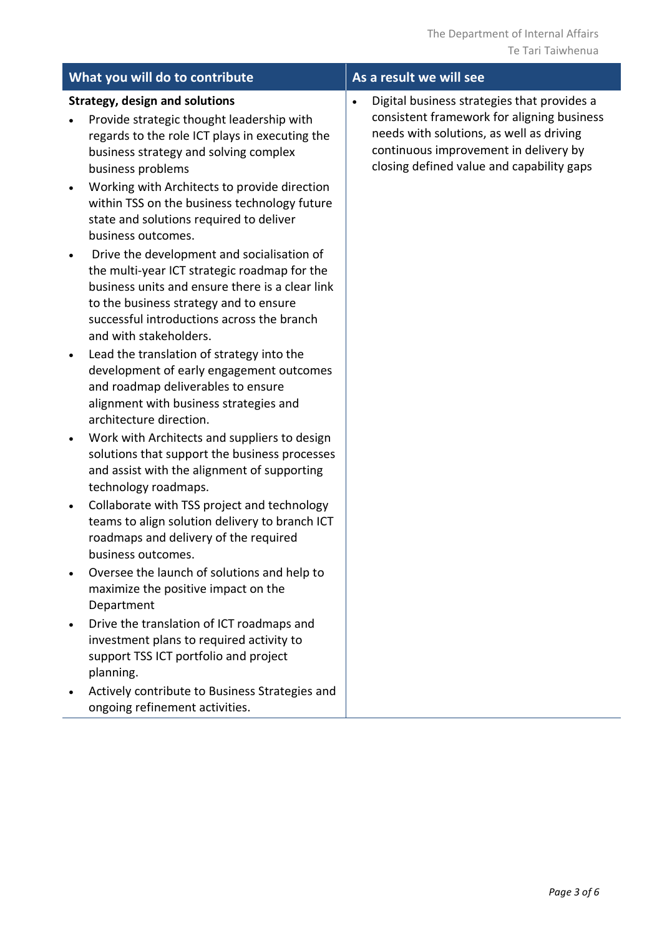|           | What you will do to contribute                                                                                                                                                                                                                                  | As a result we will see                                                                                                                                                                                                                  |
|-----------|-----------------------------------------------------------------------------------------------------------------------------------------------------------------------------------------------------------------------------------------------------------------|------------------------------------------------------------------------------------------------------------------------------------------------------------------------------------------------------------------------------------------|
|           | <b>Strategy, design and solutions</b><br>Provide strategic thought leadership with<br>regards to the role ICT plays in executing the<br>business strategy and solving complex<br>business problems                                                              | Digital business strategies that provides a<br>$\bullet$<br>consistent framework for aligning business<br>needs with solutions, as well as driving<br>continuous improvement in delivery by<br>closing defined value and capability gaps |
| $\bullet$ | Working with Architects to provide direction<br>within TSS on the business technology future<br>state and solutions required to deliver<br>business outcomes.                                                                                                   |                                                                                                                                                                                                                                          |
|           | Drive the development and socialisation of<br>the multi-year ICT strategic roadmap for the<br>business units and ensure there is a clear link<br>to the business strategy and to ensure<br>successful introductions across the branch<br>and with stakeholders. |                                                                                                                                                                                                                                          |
| $\bullet$ | Lead the translation of strategy into the<br>development of early engagement outcomes<br>and roadmap deliverables to ensure<br>alignment with business strategies and<br>architecture direction.                                                                |                                                                                                                                                                                                                                          |
| $\bullet$ | Work with Architects and suppliers to design<br>solutions that support the business processes<br>and assist with the alignment of supporting<br>technology roadmaps.                                                                                            |                                                                                                                                                                                                                                          |
| $\bullet$ | Collaborate with TSS project and technology<br>teams to align solution delivery to branch ICT<br>roadmaps and delivery of the required<br>business outcomes.                                                                                                    |                                                                                                                                                                                                                                          |
|           | Oversee the launch of solutions and help to<br>maximize the positive impact on the<br>Department                                                                                                                                                                |                                                                                                                                                                                                                                          |
|           | Drive the translation of ICT roadmaps and<br>investment plans to required activity to<br>support TSS ICT portfolio and project<br>planning.                                                                                                                     |                                                                                                                                                                                                                                          |
|           | Actively contribute to Business Strategies and<br>ongoing refinement activities.                                                                                                                                                                                |                                                                                                                                                                                                                                          |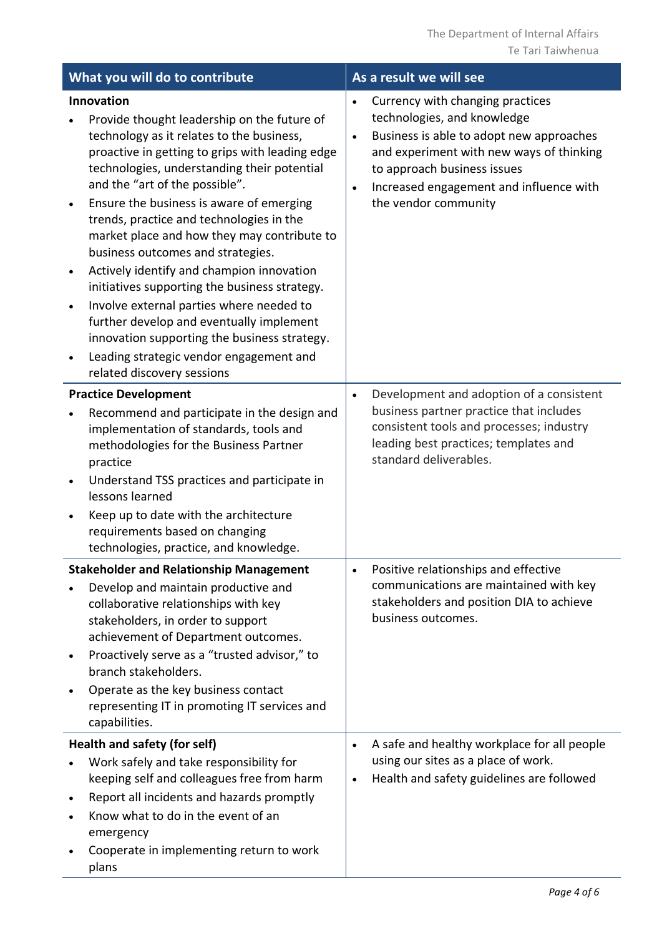| What you will do to contribute      |                                                                                                                                                                                                                                                                                                                                                                                                                                                                                                                                                                                                                                                                                                                                       | As a result we will see                                                                                                                                                                                                                                   |  |  |  |
|-------------------------------------|---------------------------------------------------------------------------------------------------------------------------------------------------------------------------------------------------------------------------------------------------------------------------------------------------------------------------------------------------------------------------------------------------------------------------------------------------------------------------------------------------------------------------------------------------------------------------------------------------------------------------------------------------------------------------------------------------------------------------------------|-----------------------------------------------------------------------------------------------------------------------------------------------------------------------------------------------------------------------------------------------------------|--|--|--|
| $\bullet$<br>$\bullet$<br>$\bullet$ | Innovation<br>Provide thought leadership on the future of<br>technology as it relates to the business,<br>proactive in getting to grips with leading edge<br>technologies, understanding their potential<br>and the "art of the possible".<br>Ensure the business is aware of emerging<br>trends, practice and technologies in the<br>market place and how they may contribute to<br>business outcomes and strategies.<br>Actively identify and champion innovation<br>initiatives supporting the business strategy.<br>Involve external parties where needed to<br>further develop and eventually implement<br>innovation supporting the business strategy.<br>Leading strategic vendor engagement and<br>related discovery sessions | Currency with changing practices<br>technologies, and knowledge<br>Business is able to adopt new approaches<br>and experiment with new ways of thinking<br>to approach business issues<br>Increased engagement and influence with<br>the vendor community |  |  |  |
|                                     | <b>Practice Development</b><br>Recommend and participate in the design and<br>implementation of standards, tools and<br>methodologies for the Business Partner<br>practice<br>Understand TSS practices and participate in<br>lessons learned<br>Keep up to date with the architecture<br>requirements based on changing<br>technologies, practice, and knowledge.                                                                                                                                                                                                                                                                                                                                                                     | Development and adoption of a consistent<br>business partner practice that includes<br>consistent tools and processes; industry<br>leading best practices; templates and<br>standard deliverables.                                                        |  |  |  |
| $\bullet$                           | <b>Stakeholder and Relationship Management</b><br>Develop and maintain productive and<br>collaborative relationships with key<br>stakeholders, in order to support<br>achievement of Department outcomes.<br>Proactively serve as a "trusted advisor," to<br>branch stakeholders.<br>Operate as the key business contact<br>representing IT in promoting IT services and<br>capabilities.                                                                                                                                                                                                                                                                                                                                             | Positive relationships and effective<br>communications are maintained with key<br>stakeholders and position DIA to achieve<br>business outcomes.                                                                                                          |  |  |  |
| $\bullet$                           | Health and safety (for self)<br>Work safely and take responsibility for<br>keeping self and colleagues free from harm<br>Report all incidents and hazards promptly<br>Know what to do in the event of an<br>emergency<br>Cooperate in implementing return to work<br>plans                                                                                                                                                                                                                                                                                                                                                                                                                                                            | A safe and healthy workplace for all people<br>using our sites as a place of work.<br>Health and safety guidelines are followed                                                                                                                           |  |  |  |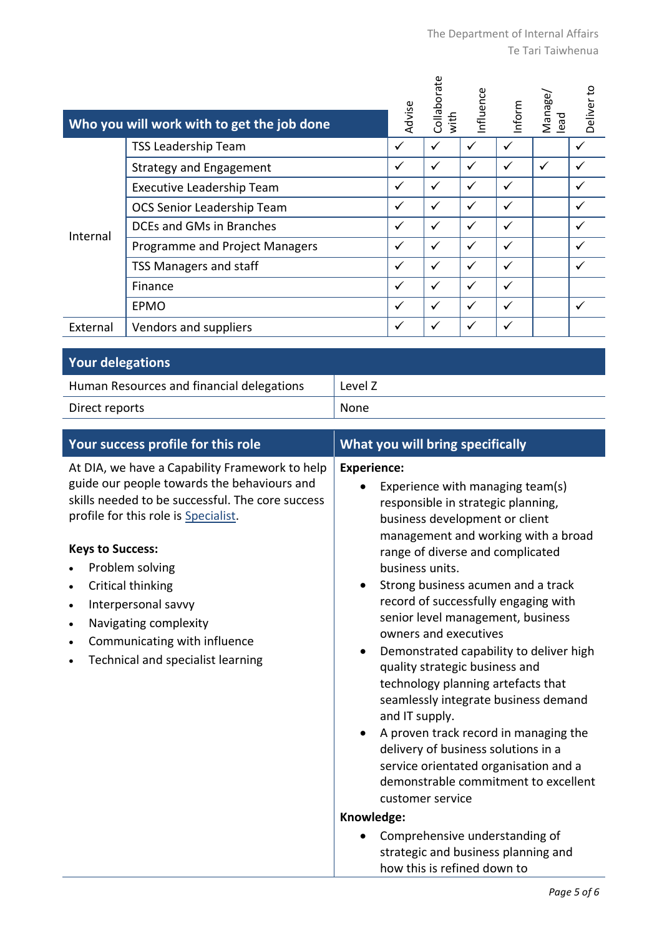|                         | Who you will work with to get the job done | Advise       | Collaborate<br>with | nfluence | Inform | Manage/<br>lead | Deliver to |
|-------------------------|--------------------------------------------|--------------|---------------------|----------|--------|-----------------|------------|
|                         | <b>TSS Leadership Team</b>                 | ✓            | ✓                   | ✓        | ✓      |                 |            |
|                         | <b>Strategy and Engagement</b>             | ✓            | ✓                   |          | ✓      | ✓               |            |
|                         | Executive Leadership Team                  | $\checkmark$ | ✓                   | ✓        | ✓      |                 |            |
|                         | OCS Senior Leadership Team                 | ✓            | ✓                   |          | ✓      |                 |            |
| Internal                | DCEs and GMs in Branches                   | $\checkmark$ | ✓                   | ✓        | ✓      |                 |            |
|                         | Programme and Project Managers             | ✓            |                     |          |        |                 |            |
|                         | TSS Managers and staff                     | ✓            | ✓                   | ✓        | ✓      |                 |            |
|                         | Finance                                    | ✓            |                     |          |        |                 |            |
|                         | EPMO                                       | ✓            | ✓                   | ✓        | ✓      |                 |            |
| External                | Vendors and suppliers                      | ✓            |                     |          | ✓      |                 |            |
| <b>Your delegations</b> |                                            |              |                     |          |        |                 |            |

| Human Resources and financial delegations | Level Z |
|-------------------------------------------|---------|
| Direct reports                            | None    |

| Your success profile for this role                                                                                                                                                                                                                                                                                                                                                                                       | What you will bring specifically                                                                                                                                                                                                                                                                                                                                                                                                                                                                                                                                                                                                                                                                                                                                                                                                                                              |  |  |  |
|--------------------------------------------------------------------------------------------------------------------------------------------------------------------------------------------------------------------------------------------------------------------------------------------------------------------------------------------------------------------------------------------------------------------------|-------------------------------------------------------------------------------------------------------------------------------------------------------------------------------------------------------------------------------------------------------------------------------------------------------------------------------------------------------------------------------------------------------------------------------------------------------------------------------------------------------------------------------------------------------------------------------------------------------------------------------------------------------------------------------------------------------------------------------------------------------------------------------------------------------------------------------------------------------------------------------|--|--|--|
| At DIA, we have a Capability Framework to help<br>guide our people towards the behaviours and<br>skills needed to be successful. The core success<br>profile for this role is Specialist.<br><b>Keys to Success:</b><br>Problem solving<br>Critical thinking<br>Interpersonal savvy<br>$\bullet$<br>Navigating complexity<br>$\bullet$<br>Communicating with influence<br>$\bullet$<br>Technical and specialist learning | <b>Experience:</b><br>Experience with managing team(s)<br>responsible in strategic planning,<br>business development or client<br>management and working with a broad<br>range of diverse and complicated<br>business units.<br>Strong business acumen and a track<br>$\bullet$<br>record of successfully engaging with<br>senior level management, business<br>owners and executives<br>Demonstrated capability to deliver high<br>quality strategic business and<br>technology planning artefacts that<br>seamlessly integrate business demand<br>and IT supply.<br>A proven track record in managing the<br>delivery of business solutions in a<br>service orientated organisation and a<br>demonstrable commitment to excellent<br>customer service<br>Knowledge:<br>Comprehensive understanding of<br>strategic and business planning and<br>how this is refined down to |  |  |  |